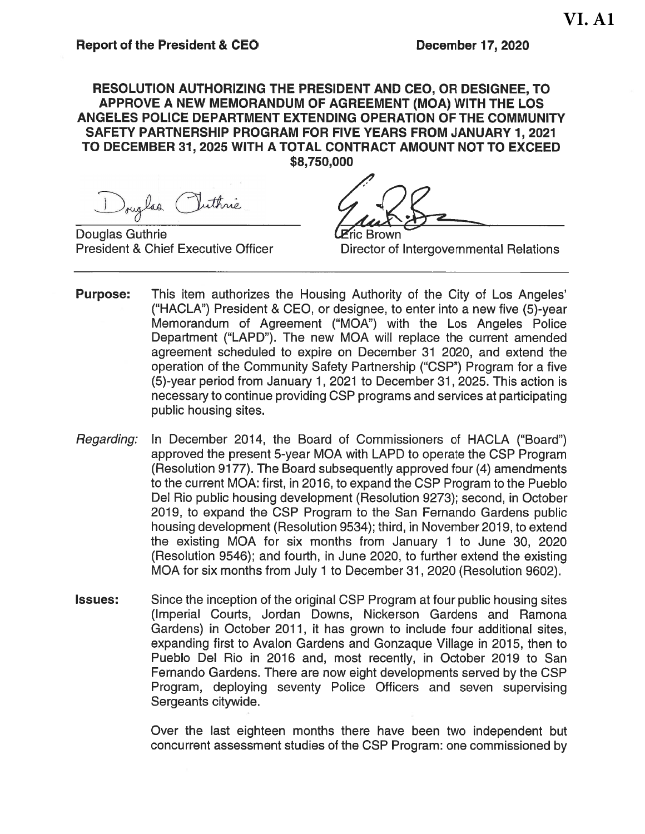#### RESOLUTION AUTHORIZING THE PRESIDENT AND CEO. OR DESIGNEE. TO APPROVE A NEW MEMORANDUM OF AGREEMENT (MOA) WITH THE LOS ANGELES POLICE DEPARTMENT EXTENDING OPERATION OF THE COMMUNITY SAFETY PARTNERSHIP PROGRAM FOR FIVE YEARS FROM JANUARY 1, 2021 TO DECEMBER 31, 2025 WITH A TOTAL CONTRACT AMOUNT NOT TO EXCEED \$8,750,000

Douglas Puttine

**Douglas Guthrie President & Chief Executive Officer** 

**Brown** 

Director of Intergovernmental Relations

- **Purpose:** This item authorizes the Housing Authority of the City of Los Angeles' ("HACLA") President & CEO, or designee, to enter into a new five (5)-year Memorandum of Agreement ("MOA") with the Los Angeles Police Department ("LAPD"). The new MOA will replace the current amended agreement scheduled to expire on December 31 2020, and extend the operation of the Community Safety Partnership ("CSP") Program for a five (5)-year period from January 1, 2021 to December 31, 2025. This action is necessary to continue providing CSP programs and services at participating public housing sites.
- Regarding: In December 2014, the Board of Commissioners of HACLA ("Board") approved the present 5-year MOA with LAPD to operate the CSP Program (Resolution 9177). The Board subsequently approved four (4) amendments to the current MOA: first, in 2016, to expand the CSP Program to the Pueblo Del Rio public housing development (Resolution 9273); second, in October 2019, to expand the CSP Program to the San Fernando Gardens public housing development (Resolution 9534); third, in November 2019, to extend the existing MOA for six months from January 1 to June 30, 2020 (Resolution 9546); and fourth, in June 2020, to further extend the existing MOA for six months from July 1 to December 31, 2020 (Resolution 9602).
- Since the inception of the original CSP Program at four public housing sites **Issues:** (Imperial Courts, Jordan Downs, Nickerson Gardens and Ramona Gardens) in October 2011, it has grown to include four additional sites, expanding first to Avalon Gardens and Gonzaque Village in 2015, then to Pueblo Del Rio in 2016 and, most recently, in October 2019 to San Fernando Gardens. There are now eight developments served by the CSP Program, deploying seventy Police Officers and seven supervising Sergeants citywide.

Over the last eighteen months there have been two independent but concurrent assessment studies of the CSP Program: one commissioned by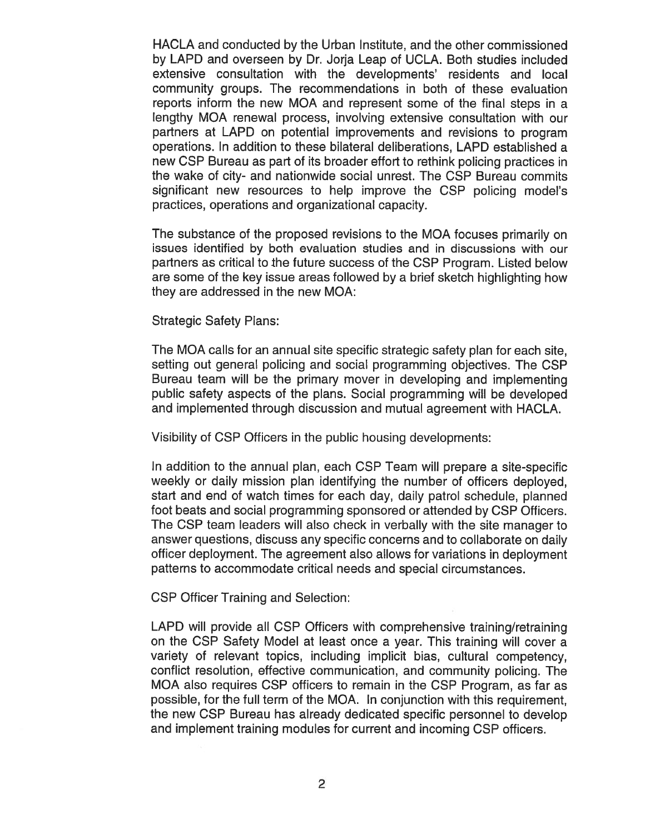HACLA and conducted by the Urban Institute, and the other commissioned by LAPD and overseen by Dr. Joria Leap of UCLA. Both studies included extensive consultation with the developments' residents and local community groups. The recommendations in both of these evaluation reports inform the new MOA and represent some of the final steps in a lengthy MOA renewal process, involving extensive consultation with our partners at LAPD on potential improvements and revisions to program operations. In addition to these bilateral deliberations. LAPD established a new CSP Bureau as part of its broader effort to rethink policing practices in the wake of city- and nationwide social unrest. The CSP Bureau commits significant new resources to help improve the CSP policing model's practices, operations and organizational capacity.

The substance of the proposed revisions to the MOA focuses primarily on issues identified by both evaluation studies and in discussions with our partners as critical to the future success of the CSP Program. Listed below are some of the key issue areas followed by a brief sketch highlighting how they are addressed in the new MOA:

**Strategic Safety Plans:** 

The MOA calls for an annual site specific strategic safety plan for each site. setting out general policing and social programming objectives. The CSP Bureau team will be the primary mover in developing and implementing public safety aspects of the plans. Social programming will be developed and implemented through discussion and mutual agreement with HACLA.

Visibility of CSP Officers in the public housing developments:

In addition to the annual plan, each CSP Team will prepare a site-specific weekly or daily mission plan identifying the number of officers deployed. start and end of watch times for each day, daily patrol schedule, planned foot beats and social programming sponsored or attended by CSP Officers. The CSP team leaders will also check in verbally with the site manager to answer questions, discuss any specific concerns and to collaborate on daily officer deployment. The agreement also allows for variations in deployment patterns to accommodate critical needs and special circumstances.

**CSP Officer Training and Selection:** 

LAPD will provide all CSP Officers with comprehensive training/retraining on the CSP Safety Model at least once a year. This training will cover a variety of relevant topics, including implicit bias, cultural competency, conflict resolution, effective communication, and community policing. The MOA also requires CSP officers to remain in the CSP Program, as far as possible, for the full term of the MOA. In conjunction with this requirement, the new CSP Bureau has already dedicated specific personnel to develop and implement training modules for current and incoming CSP officers.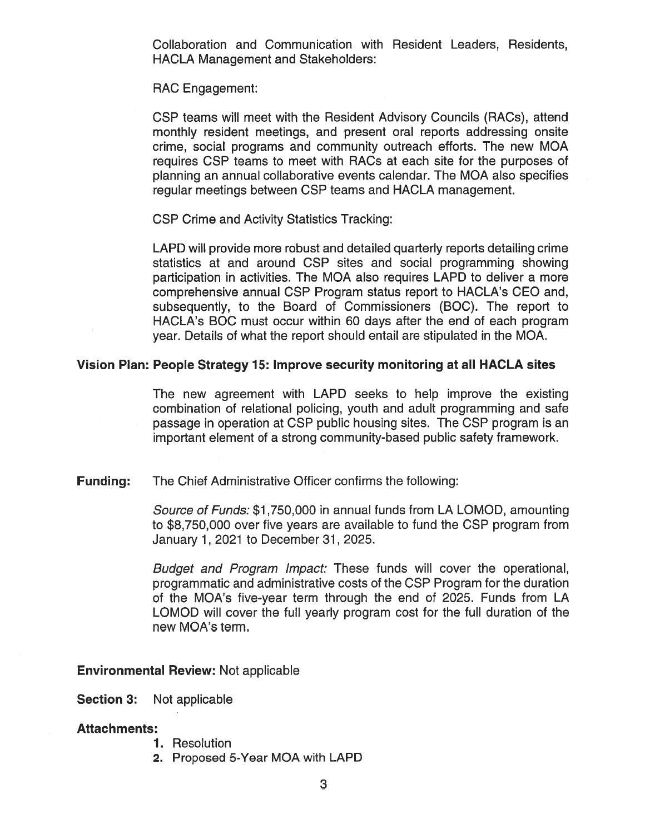Collaboration and Communication with Resident Leaders, Residents, **HACLA Management and Stakeholders:** 

**RAC Engagement:** 

CSP teams will meet with the Resident Advisory Councils (RACs), attend monthly resident meetings, and present oral reports addressing onsite crime, social programs and community outreach efforts. The new MOA requires CSP teams to meet with RACs at each site for the purposes of planning an annual collaborative events calendar. The MOA also specifies regular meetings between CSP teams and HACLA management.

**CSP Crime and Activity Statistics Tracking:** 

LAPD will provide more robust and detailed quarterly reports detailing crime statistics at and around CSP sites and social programming showing participation in activities. The MOA also requires LAPD to deliver a more comprehensive annual CSP Program status report to HACLA's CEO and, subsequently, to the Board of Commissioners (BOC). The report to HACLA's BOC must occur within 60 days after the end of each program year. Details of what the report should entail are stipulated in the MOA.

#### Vision Plan: People Strategy 15: Improve security monitoring at all HACLA sites

The new agreement with LAPD seeks to help improve the existing combination of relational policing, youth and adult programming and safe passage in operation at CSP public housing sites. The CSP program is an important element of a strong community-based public safety framework.

**Funding:** The Chief Administrative Officer confirms the following:

> Source of Funds: \$1,750,000 in annual funds from LA LOMOD, amounting to \$8,750,000 over five years are available to fund the CSP program from January 1, 2021 to December 31, 2025.

> Budget and Program Impact: These funds will cover the operational, programmatic and administrative costs of the CSP Program for the duration of the MOA's five-year term through the end of 2025. Funds from LA LOMOD will cover the full yearly program cost for the full duration of the new MOA's term.

#### **Environmental Review: Not applicable**

**Section 3:** Not applicable

#### **Attachments:**

- 1. Resolution
- 2. Proposed 5-Year MOA with LAPD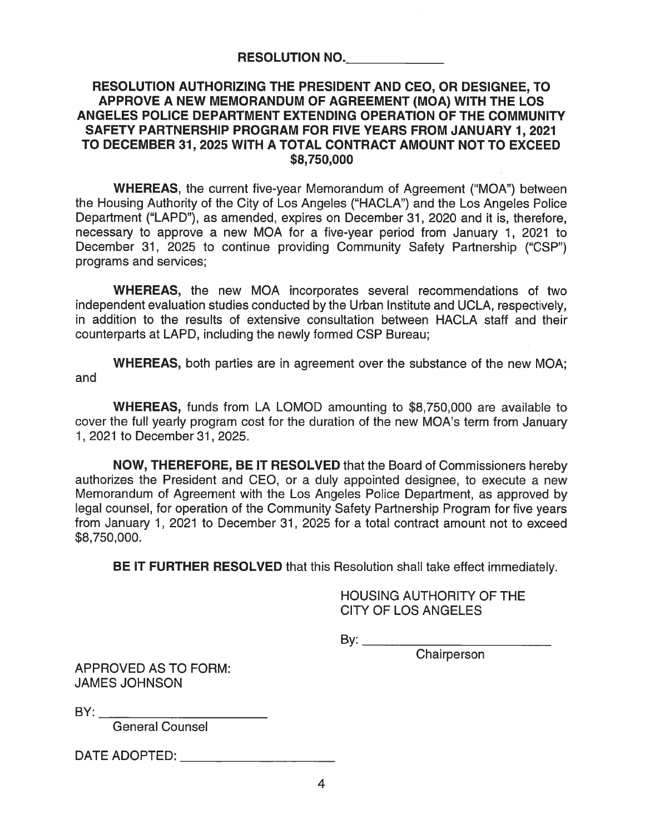#### **RESOLUTION NO.**

#### RESOLUTION AUTHORIZING THE PRESIDENT AND CEO, OR DESIGNEE, TO APPROVE A NEW MEMORANDUM OF AGREEMENT (MOA) WITH THE LOS ANGELES POLICE DEPARTMENT EXTENDING OPERATION OF THE COMMUNITY SAFETY PARTNERSHIP PROGRAM FOR FIVE YEARS FROM JANUARY 1, 2021 TO DECEMBER 31, 2025 WITH A TOTAL CONTRACT AMOUNT NOT TO EXCEED \$8,750,000

**WHEREAS, the current five-year Memorandum of Agreement ("MOA") between** the Housing Authority of the City of Los Angeles ("HACLA") and the Los Angeles Police Department ("LAPD"), as amended, expires on December 31, 2020 and it is, therefore, necessary to approve a new MOA for a five-year period from January 1, 2021 to December 31, 2025 to continue providing Community Safety Partnership ("CSP") programs and services;

**WHEREAS,** the new MOA incorporates several recommendations of two independent evaluation studies conducted by the Urban Institute and UCLA, respectively, in addition to the results of extensive consultation between HACLA staff and their counterparts at LAPD, including the newly formed CSP Bureau;

**WHEREAS,** both parties are in agreement over the substance of the new MOA; and

**WHEREAS, funds from LA LOMOD amounting to \$8,750,000 are available to** cover the full yearly program cost for the duration of the new MOA's term from January 1, 2021 to December 31, 2025.

NOW, THEREFORE, BE IT RESOLVED that the Board of Commissioners hereby authorizes the President and CEO, or a duly appointed designee, to execute a new Memorandum of Agreement with the Los Angeles Police Department, as approved by legal counsel, for operation of the Community Safety Partnership Program for five years from January 1, 2021 to December 31, 2025 for a total contract amount not to exceed \$8,750,000.

BE IT FURTHER RESOLVED that this Resolution shall take effect immediately.

#### HOUSING AUTHORITY OF THE **CITY OF LOS ANGELES**

By:  $\qquad \qquad$ 

Chairperson

**APPROVED AS TO FORM: JAMES JOHNSON** 

 $BY:$ 

**General Counsel**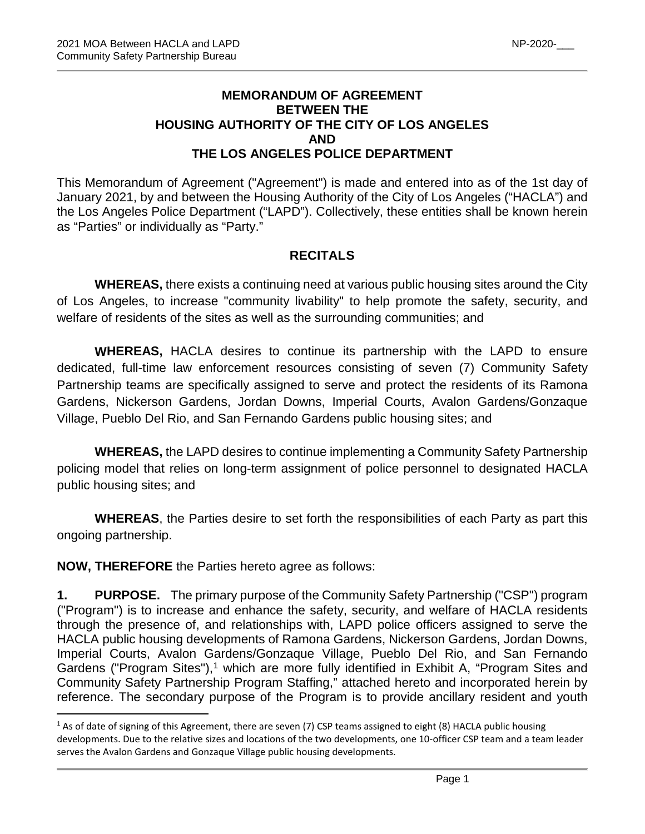## **MEMORANDUM OF AGREEMENT BETWEEN THE HOUSING AUTHORITY OF THE CITY OF LOS ANGELES AND THE LOS ANGELES POLICE DEPARTMENT**

This Memorandum of Agreement ("Agreement") is made and entered into as of the 1st day of January 2021, by and between the Housing Authority of the City of Los Angeles ("HACLA") and the Los Angeles Police Department ("LAPD"). Collectively, these entities shall be known herein as "Parties" or individually as "Party."

## **RECITALS**

**WHEREAS,** there exists a continuing need at various public housing sites around the City of Los Angeles, to increase "community livability" to help promote the safety, security, and welfare of residents of the sites as well as the surrounding communities; and

**WHEREAS,** HACLA desires to continue its partnership with the LAPD to ensure dedicated, full-time law enforcement resources consisting of seven (7) Community Safety Partnership teams are specifically assigned to serve and protect the residents of its Ramona Gardens, Nickerson Gardens, Jordan Downs, Imperial Courts, Avalon Gardens/Gonzaque Village, Pueblo Del Rio, and San Fernando Gardens public housing sites; and

**WHEREAS,** the LAPD desires to continue implementing a Community Safety Partnership policing model that relies on long-term assignment of police personnel to designated HACLA public housing sites; and

**WHEREAS**, the Parties desire to set forth the responsibilities of each Party as part this ongoing partnership.

**NOW, THEREFORE** the Parties hereto agree as follows:

**1. PURPOSE.** The primary purpose of the Community Safety Partnership ("CSP") program ("Program") is to increase and enhance the safety, security, and welfare of HACLA residents through the presence of, and relationships with, LAPD police officers assigned to serve the HACLA public housing developments of Ramona Gardens, Nickerson Gardens, Jordan Downs, Imperial Courts, Avalon Gardens/Gonzaque Village, Pueblo Del Rio, and San Fernando Gardens ("Program Sites"), [1](#page-4-0) which are more fully identified in Exhibit A, "Program Sites and Community Safety Partnership Program Staffing," attached hereto and incorporated herein by reference. The secondary purpose of the Program is to provide ancillary resident and youth

<span id="page-4-0"></span> $1$  As of date of signing of this Agreement, there are seven (7) CSP teams assigned to eight (8) HACLA public housing developments. Due to the relative sizes and locations of the two developments, one 10-officer CSP team and a team leader serves the Avalon Gardens and Gonzaque Village public housing developments.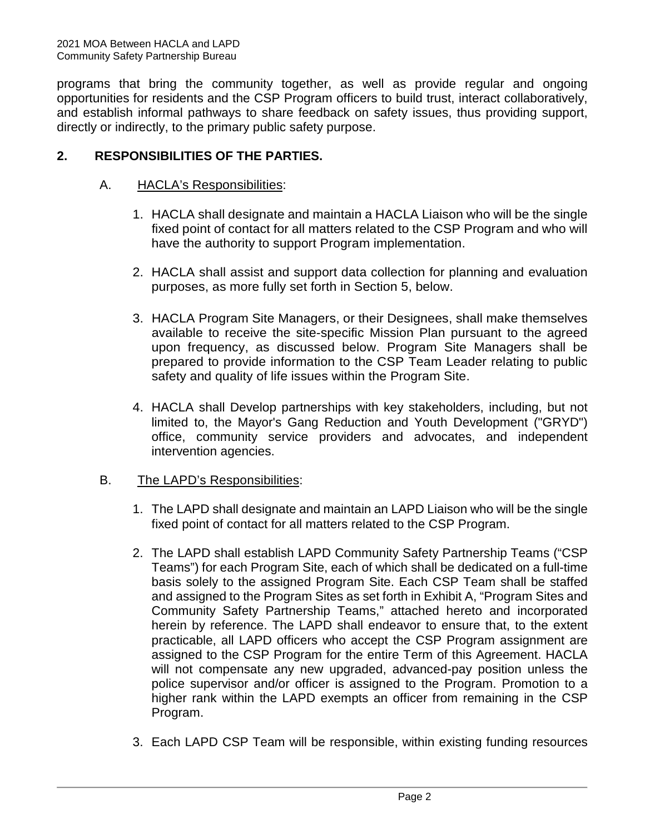programs that bring the community together, as well as provide regular and ongoing opportunities for residents and the CSP Program officers to build trust, interact collaboratively, and establish informal pathways to share feedback on safety issues, thus providing support, directly or indirectly, to the primary public safety purpose.

## **2. RESPONSIBILITIES OF THE PARTIES.**

## A. HACLA's Responsibilities:

- 1. HACLA shall designate and maintain a HACLA Liaison who will be the single fixed point of contact for all matters related to the CSP Program and who will have the authority to support Program implementation.
- 2. HACLA shall assist and support data collection for planning and evaluation purposes, as more fully set forth in Section 5, below.
- 3. HACLA Program Site Managers, or their Designees, shall make themselves available to receive the site-specific Mission Plan pursuant to the agreed upon frequency, as discussed below. Program Site Managers shall be prepared to provide information to the CSP Team Leader relating to public safety and quality of life issues within the Program Site.
- 4. HACLA shall Develop partnerships with key stakeholders, including, but not limited to, the Mayor's Gang Reduction and Youth Development ("GRYD") office, community service providers and advocates, and independent intervention agencies.

#### B. The LAPD's Responsibilities:

- 1. The LAPD shall designate and maintain an LAPD Liaison who will be the single fixed point of contact for all matters related to the CSP Program.
- 2. The LAPD shall establish LAPD Community Safety Partnership Teams ("CSP Teams") for each Program Site, each of which shall be dedicated on a full-time basis solely to the assigned Program Site. Each CSP Team shall be staffed and assigned to the Program Sites as set forth in Exhibit A, "Program Sites and Community Safety Partnership Teams," attached hereto and incorporated herein by reference. The LAPD shall endeavor to ensure that, to the extent practicable, all LAPD officers who accept the CSP Program assignment are assigned to the CSP Program for the entire Term of this Agreement. HACLA will not compensate any new upgraded, advanced-pay position unless the police supervisor and/or officer is assigned to the Program. Promotion to a higher rank within the LAPD exempts an officer from remaining in the CSP Program.
- 3. Each LAPD CSP Team will be responsible, within existing funding resources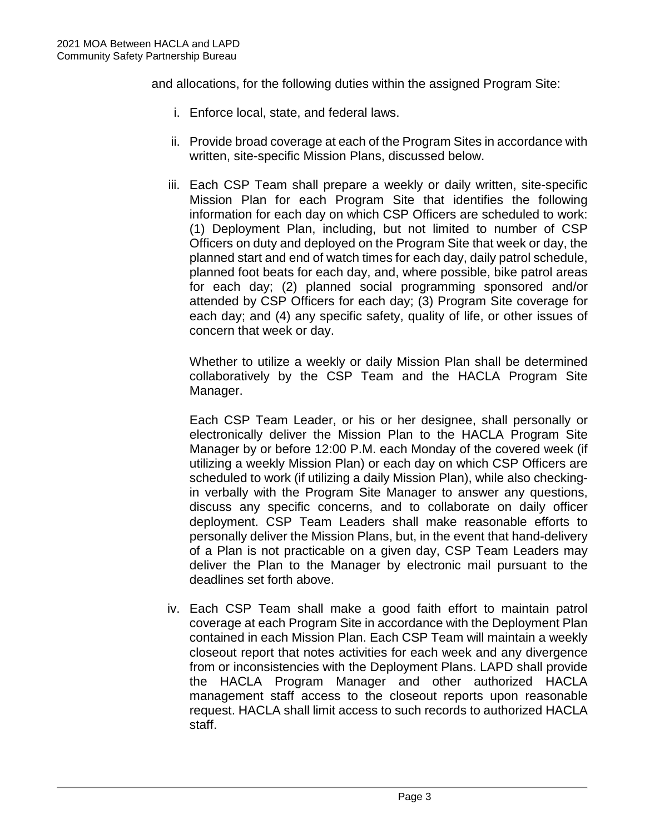and allocations, for the following duties within the assigned Program Site:

- i. Enforce local, state, and federal laws.
- ii. Provide broad coverage at each of the Program Sites in accordance with written, site-specific Mission Plans, discussed below.
- iii. Each CSP Team shall prepare a weekly or daily written, site-specific Mission Plan for each Program Site that identifies the following information for each day on which CSP Officers are scheduled to work: (1) Deployment Plan, including, but not limited to number of CSP Officers on duty and deployed on the Program Site that week or day, the planned start and end of watch times for each day, daily patrol schedule, planned foot beats for each day, and, where possible, bike patrol areas for each day; (2) planned social programming sponsored and/or attended by CSP Officers for each day; (3) Program Site coverage for each day; and (4) any specific safety, quality of life, or other issues of concern that week or day.

Whether to utilize a weekly or daily Mission Plan shall be determined collaboratively by the CSP Team and the HACLA Program Site Manager.

Each CSP Team Leader, or his or her designee, shall personally or electronically deliver the Mission Plan to the HACLA Program Site Manager by or before 12:00 P.M. each Monday of the covered week (if utilizing a weekly Mission Plan) or each day on which CSP Officers are scheduled to work (if utilizing a daily Mission Plan), while also checkingin verbally with the Program Site Manager to answer any questions, discuss any specific concerns, and to collaborate on daily officer deployment. CSP Team Leaders shall make reasonable efforts to personally deliver the Mission Plans, but, in the event that hand-delivery of a Plan is not practicable on a given day, CSP Team Leaders may deliver the Plan to the Manager by electronic mail pursuant to the deadlines set forth above.

iv. Each CSP Team shall make a good faith effort to maintain patrol coverage at each Program Site in accordance with the Deployment Plan contained in each Mission Plan. Each CSP Team will maintain a weekly closeout report that notes activities for each week and any divergence from or inconsistencies with the Deployment Plans. LAPD shall provide the HACLA Program Manager and other authorized HACLA management staff access to the closeout reports upon reasonable request. HACLA shall limit access to such records to authorized HACLA staff.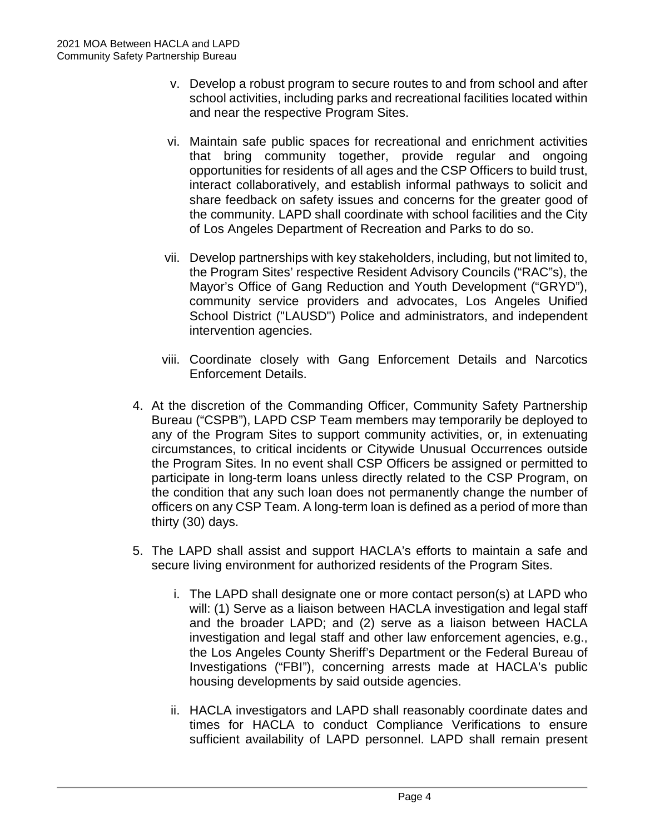- v. Develop a robust program to secure routes to and from school and after school activities, including parks and recreational facilities located within and near the respective Program Sites.
- vi. Maintain safe public spaces for recreational and enrichment activities that bring community together, provide regular and ongoing opportunities for residents of all ages and the CSP Officers to build trust, interact collaboratively, and establish informal pathways to solicit and share feedback on safety issues and concerns for the greater good of the community. LAPD shall coordinate with school facilities and the City of Los Angeles Department of Recreation and Parks to do so.
- vii. Develop partnerships with key stakeholders, including, but not limited to, the Program Sites' respective Resident Advisory Councils ("RAC"s), the Mayor's Office of Gang Reduction and Youth Development ("GRYD"), community service providers and advocates, Los Angeles Unified School District ("LAUSD") Police and administrators, and independent intervention agencies.
- viii. Coordinate closely with Gang Enforcement Details and Narcotics Enforcement Details.
- 4. At the discretion of the Commanding Officer, Community Safety Partnership Bureau ("CSPB"), LAPD CSP Team members may temporarily be deployed to any of the Program Sites to support community activities, or, in extenuating circumstances, to critical incidents or Citywide Unusual Occurrences outside the Program Sites. In no event shall CSP Officers be assigned or permitted to participate in long-term loans unless directly related to the CSP Program, on the condition that any such loan does not permanently change the number of officers on any CSP Team. A long-term loan is defined as a period of more than thirty (30) days.
- 5. The LAPD shall assist and support HACLA's efforts to maintain a safe and secure living environment for authorized residents of the Program Sites.
	- i. The LAPD shall designate one or more contact person(s) at LAPD who will: (1) Serve as a liaison between HACLA investigation and legal staff and the broader LAPD; and (2) serve as a liaison between HACLA investigation and legal staff and other law enforcement agencies, e.g., the Los Angeles County Sheriff's Department or the Federal Bureau of Investigations ("FBI"), concerning arrests made at HACLA's public housing developments by said outside agencies.
	- ii. HACLA investigators and LAPD shall reasonably coordinate dates and times for HACLA to conduct Compliance Verifications to ensure sufficient availability of LAPD personnel. LAPD shall remain present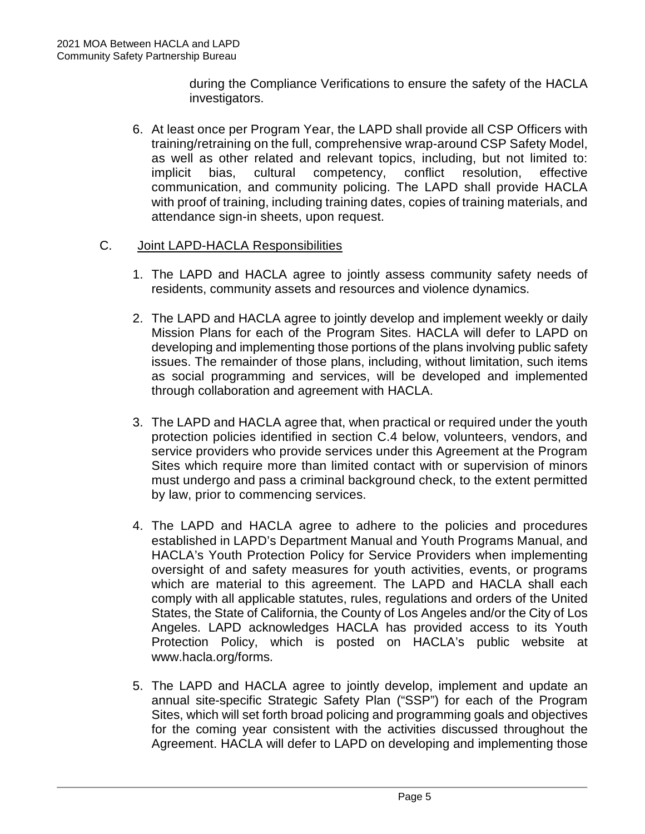during the Compliance Verifications to ensure the safety of the HACLA investigators.

6. At least once per Program Year, the LAPD shall provide all CSP Officers with training/retraining on the full, comprehensive wrap-around CSP Safety Model, as well as other related and relevant topics, including, but not limited to: implicit bias, cultural competency, conflict resolution, effective communication, and community policing. The LAPD shall provide HACLA with proof of training, including training dates, copies of training materials, and attendance sign-in sheets, upon request.

#### C. Joint LAPD-HACLA Responsibilities

- 1. The LAPD and HACLA agree to jointly assess community safety needs of residents, community assets and resources and violence dynamics.
- 2. The LAPD and HACLA agree to jointly develop and implement weekly or daily Mission Plans for each of the Program Sites. HACLA will defer to LAPD on developing and implementing those portions of the plans involving public safety issues. The remainder of those plans, including, without limitation, such items as social programming and services, will be developed and implemented through collaboration and agreement with HACLA.
- 3. The LAPD and HACLA agree that, when practical or required under the youth protection policies identified in section C.4 below, volunteers, vendors, and service providers who provide services under this Agreement at the Program Sites which require more than limited contact with or supervision of minors must undergo and pass a criminal background check, to the extent permitted by law, prior to commencing services.
- 4. The LAPD and HACLA agree to adhere to the policies and procedures established in LAPD's Department Manual and Youth Programs Manual, and HACLA's Youth Protection Policy for Service Providers when implementing oversight of and safety measures for youth activities, events, or programs which are material to this agreement. The LAPD and HACLA shall each comply with all applicable statutes, rules, regulations and orders of the United States, the State of California, the County of Los Angeles and/or the City of Los Angeles. LAPD acknowledges HACLA has provided access to its Youth Protection Policy, which is posted on HACLA's public website at www.hacla.org/forms.
- 5. The LAPD and HACLA agree to jointly develop, implement and update an annual site-specific Strategic Safety Plan ("SSP") for each of the Program Sites, which will set forth broad policing and programming goals and objectives for the coming year consistent with the activities discussed throughout the Agreement. HACLA will defer to LAPD on developing and implementing those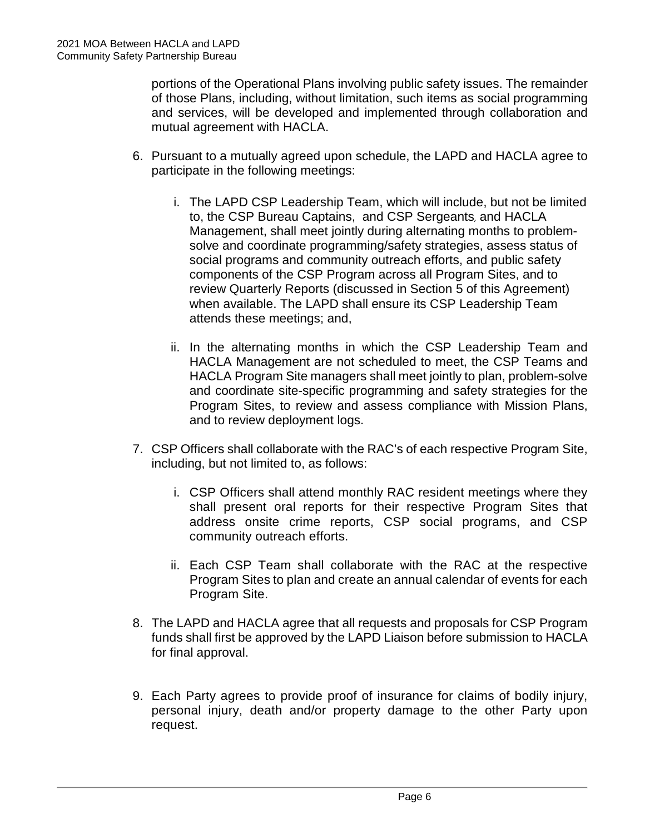portions of the Operational Plans involving public safety issues. The remainder of those Plans, including, without limitation, such items as social programming and services, will be developed and implemented through collaboration and mutual agreement with HACLA.

- 6. Pursuant to a mutually agreed upon schedule, the LAPD and HACLA agree to participate in the following meetings:
	- i. The LAPD CSP Leadership Team, which will include, but not be limited to, the CSP Bureau Captains, and CSP Sergeants, and HACLA Management, shall meet jointly during alternating months to problemsolve and coordinate programming/safety strategies, assess status of social programs and community outreach efforts, and public safety components of the CSP Program across all Program Sites, and to review Quarterly Reports (discussed in Section 5 of this Agreement) when available. The LAPD shall ensure its CSP Leadership Team attends these meetings; and,
	- ii. In the alternating months in which the CSP Leadership Team and HACLA Management are not scheduled to meet, the CSP Teams and HACLA Program Site managers shall meet jointly to plan, problem-solve and coordinate site-specific programming and safety strategies for the Program Sites, to review and assess compliance with Mission Plans, and to review deployment loas.
- 7. CSP Officers shall collaborate with the RAC's of each respective Program Site, including, but not limited to, as follows:
	- i. CSP Officers shall attend monthly RAC resident meetings where they shall present oral reports for their respective Program Sites that address onsite crime reports, CSP social programs, and CSP community outreach efforts.
	- ii. Each CSP Team shall collaborate with the RAC at the respective Program Sites to plan and create an annual calendar of events for each Program Site.
- 8. The LAPD and HACLA agree that all requests and proposals for CSP Program funds shall first be approved by the LAPD Liaison before submission to HACLA for final approval.
- 9. Each Party agrees to provide proof of insurance for claims of bodily injury, personal injury, death and/or property damage to the other Party upon request.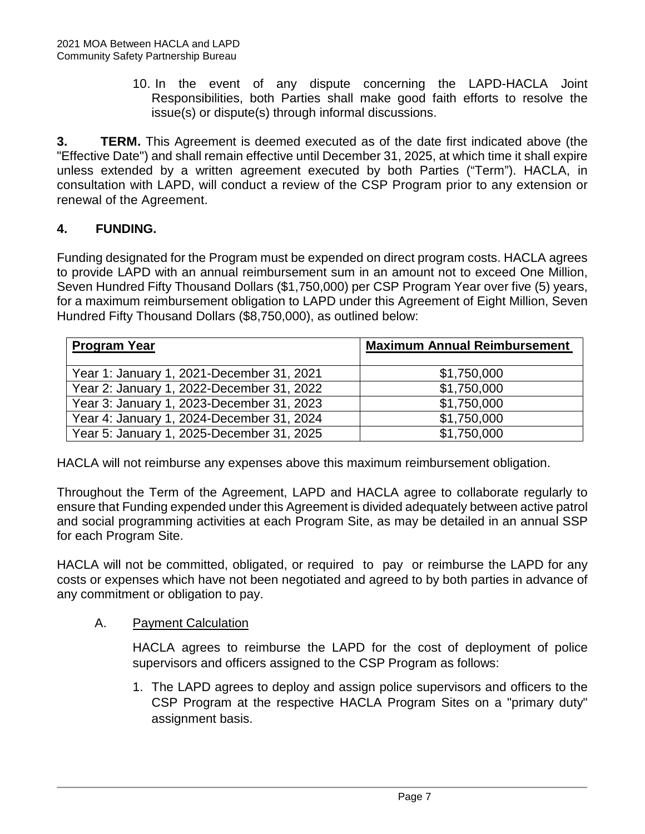10. In the event of any dispute concerning the LAPD-HACLA Joint Responsibilities, both Parties shall make good faith efforts to resolve the issue(s) or dispute(s) through informal discussions.

**3. TERM.** This Agreement is deemed executed as of the date first indicated above (the "Effective Date") and shall remain effective until December 31, 2025, at which time it shall expire unless extended by a written agreement executed by both Parties ("Term"). HACLA, in consultation with LAPD, will conduct a review of the CSP Program prior to any extension or renewal of the Agreement.

## **4. FUNDING.**

Funding designated for the Program must be expended on direct program costs. HACLA agrees to provide LAPD with an annual reimbursement sum in an amount not to exceed One Million, Seven Hundred Fifty Thousand Dollars (\$1,750,000) per CSP Program Year over five (5) years, for a maximum reimbursement obligation to LAPD under this Agreement of Eight Million, Seven Hundred Fifty Thousand Dollars (\$8,750,000), as outlined below:

| <b>Program Year</b>                       | <b>Maximum Annual Reimbursement</b> |
|-------------------------------------------|-------------------------------------|
| Year 1: January 1, 2021-December 31, 2021 | \$1,750,000                         |
| Year 2: January 1, 2022-December 31, 2022 | \$1,750,000                         |
| Year 3: January 1, 2023-December 31, 2023 | \$1,750,000                         |
| Year 4: January 1, 2024-December 31, 2024 | \$1,750,000                         |
| Year 5: January 1, 2025-December 31, 2025 | \$1,750,000                         |

HACLA will not reimburse any expenses above this maximum reimbursement obligation.

Throughout the Term of the Agreement, LAPD and HACLA agree to collaborate regularly to ensure that Funding expended under this Agreement is divided adequately between active patrol and social programming activities at each Program Site, as may be detailed in an annual SSP for each Program Site.

HACLA will not be committed, obligated, or required to pay or reimburse the LAPD for any costs or expenses which have not been negotiated and agreed to by both parties in advance of any commitment or obligation to pay.

#### A. Payment Calculation

HACLA agrees to reimburse the LAPD for the cost of deployment of police supervisors and officers assigned to the CSP Program as follows:

1. The LAPD agrees to deploy and assign police supervisors and officers to the CSP Program at the respective HACLA Program Sites on a "primary duty" assignment basis.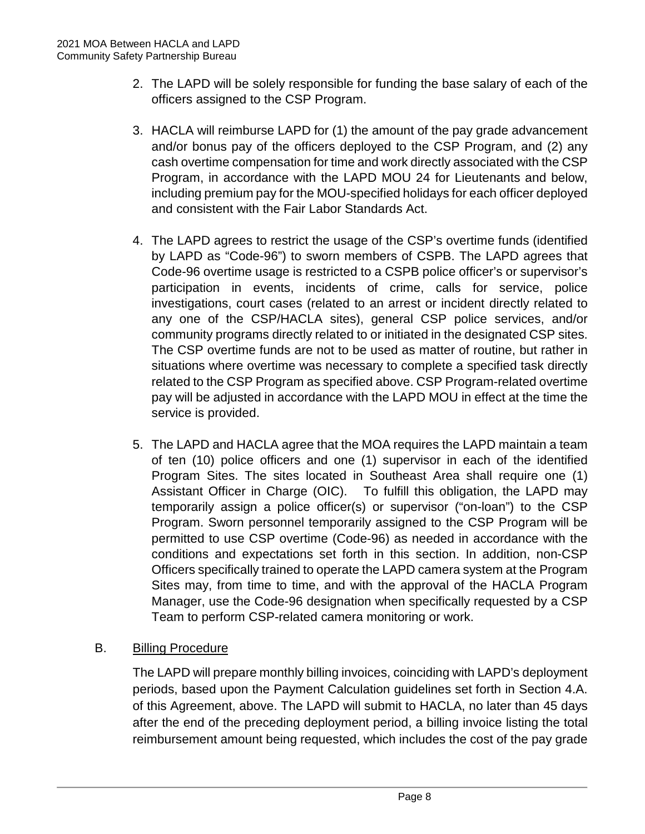- 2. The LAPD will be solely responsible for funding the base salary of each of the officers assigned to the CSP Program.
- 3. HACLA will reimburse LAPD for (1) the amount of the pay grade advancement and/or bonus pay of the officers deployed to the CSP Program, and (2) any cash overtime compensation for time and work directly associated with the CSP Program, in accordance with the LAPD MOU 24 for Lieutenants and below, including premium pay for the MOU-specified holidays for each officer deployed and consistent with the Fair Labor Standards Act.
- 4. The LAPD agrees to restrict the usage of the CSP's overtime funds (identified by LAPD as "Code-96") to sworn members of CSPB. The LAPD agrees that Code-96 overtime usage is restricted to a CSPB police officer's or supervisor's participation in events, incidents of crime, calls for service, police investigations, court cases (related to an arrest or incident directly related to any one of the CSP/HACLA sites), general CSP police services, and/or community programs directly related to or initiated in the designated CSP sites. The CSP overtime funds are not to be used as matter of routine, but rather in situations where overtime was necessary to complete a specified task directly related to the CSP Program as specified above. CSP Program-related overtime pay will be adjusted in accordance with the LAPD MOU in effect at the time the service is provided.
- 5. The LAPD and HACLA agree that the MOA requires the LAPD maintain a team of ten (10) police officers and one (1) supervisor in each of the identified Program Sites. The sites located in Southeast Area shall require one (1) Assistant Officer in Charge (OIC). To fulfill this obligation, the LAPD may temporarily assign a police officer(s) or supervisor ("on-loan") to the CSP Program. Sworn personnel temporarily assigned to the CSP Program will be permitted to use CSP overtime (Code-96) as needed in accordance with the conditions and expectations set forth in this section. In addition, non-CSP Officers specifically trained to operate the LAPD camera system at the Program Sites may, from time to time, and with the approval of the HACLA Program Manager, use the Code-96 designation when specifically requested by a CSP Team to perform CSP-related camera monitoring or work.

## **B.** Billing Procedure

The LAPD will prepare monthly billing invoices, coinciding with LAPD's deployment periods, based upon the Payment Calculation guidelines set forth in Section 4.A. of this Agreement, above. The LAPD will submit to HACLA, no later than 45 days after the end of the preceding deployment period, a billing invoice listing the total reimbursement amount being requested, which includes the cost of the pay grade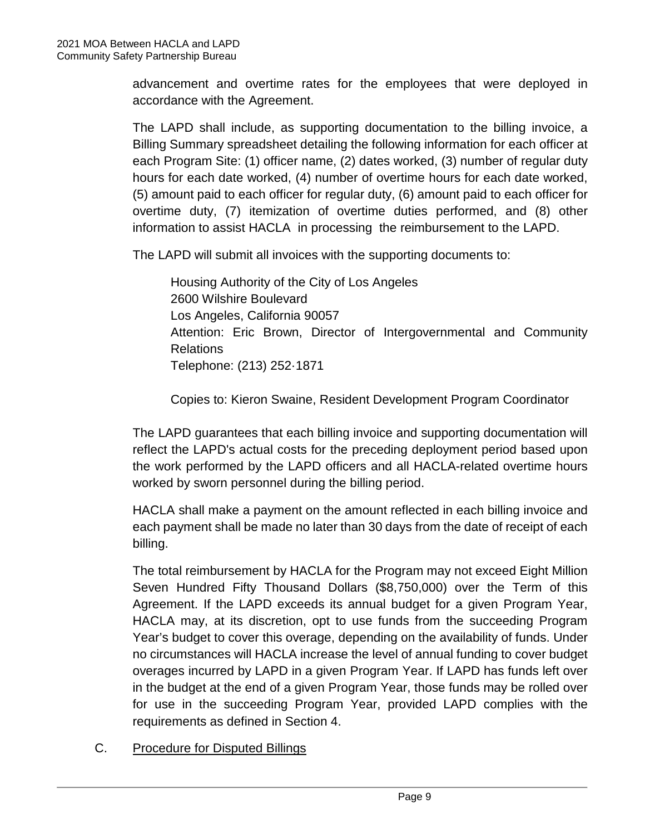advancement and overtime rates for the employees that were deployed in accordance with the Agreement.

The LAPD shall include, as supporting documentation to the billing invoice, a Billing Summary spreadsheet detailing the following information for each officer at each Program Site: (1) officer name, (2) dates worked, (3) number of regular duty hours for each date worked, (4) number of overtime hours for each date worked, (5) amount paid to each officer for regular duty, (6) amount paid to each officer for overtime duty, (7) itemization of overtime duties performed, and (8) other information to assist HACLA in processing the reimbursement to the LAPD.

The LAPD will submit all invoices with the supporting documents to:

Housing Authority of the City of Los Angeles 2600 Wilshire Boulevard Los Angeles, California 90057 Attention: Eric Brown, Director of Intergovernmental and Community Relations Telephone: (213) 252·1871

Copies to: Kieron Swaine, Resident Development Program Coordinator

The LAPD guarantees that each billing invoice and supporting documentation will reflect the LAPD's actual costs for the preceding deployment period based upon the work performed by the LAPD officers and all HACLA-related overtime hours worked by sworn personnel during the billing period.

HACLA shall make a payment on the amount reflected in each billing invoice and each payment shall be made no later than 30 days from the date of receipt of each billing.

The total reimbursement by HACLA for the Program may not exceed Eight Million Seven Hundred Fifty Thousand Dollars (\$8,750,000) over the Term of this Agreement. If the LAPD exceeds its annual budget for a given Program Year, HACLA may, at its discretion, opt to use funds from the succeeding Program Year's budget to cover this overage, depending on the availability of funds. Under no circumstances will HACLA increase the level of annual funding to cover budget overages incurred by LAPD in a given Program Year. If LAPD has funds left over in the budget at the end of a given Program Year, those funds may be rolled over for use in the succeeding Program Year, provided LAPD complies with the requirements as defined in Section 4.

C. Procedure for Disputed Billings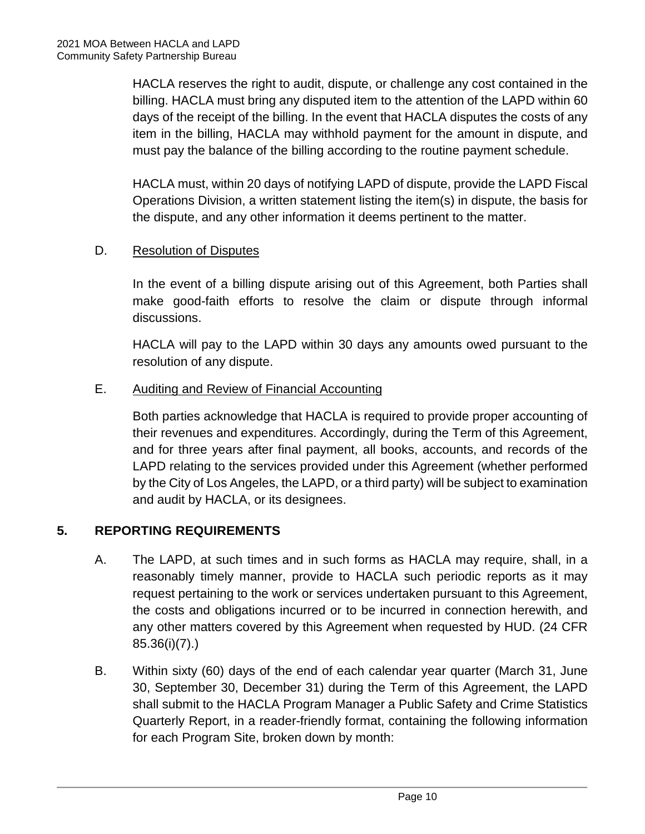HACLA reserves the right to audit, dispute, or challenge any cost contained in the billing. HACLA must bring any disputed item to the attention of the LAPD within 60 days of the receipt of the billing. In the event that HACLA disputes the costs of any item in the billing, HACLA may withhold payment for the amount in dispute, and must pay the balance of the billing according to the routine payment schedule.

HACLA must, within 20 days of notifying LAPD of dispute, provide the LAPD Fiscal Operations Division, a written statement listing the item(s) in dispute, the basis for the dispute, and any other information it deems pertinent to the matter.

## D. Resolution of Disputes

In the event of a billing dispute arising out of this Agreement, both Parties shall make good-faith efforts to resolve the claim or dispute through informal discussions.

HACLA will pay to the LAPD within 30 days any amounts owed pursuant to the resolution of any dispute.

#### E. Auditing and Review of Financial Accounting

Both parties acknowledge that HACLA is required to provide proper accounting of their revenues and expenditures. Accordingly, during the Term of this Agreement, and for three years after final payment, all books, accounts, and records of the LAPD relating to the services provided under this Agreement (whether performed by the City of Los Angeles, the LAPD, or a third party) will be subject to examination and audit by HACLA, or its designees.

## **5. REPORTING REQUIREMENTS**

- A. The LAPD, at such times and in such forms as HACLA may require, shall, in a reasonably timely manner, provide to HACLA such periodic reports as it may request pertaining to the work or services undertaken pursuant to this Agreement, the costs and obligations incurred or to be incurred in connection herewith, and any other matters covered by this Agreement when requested by HUD. (24 CFR 85.36(i)(7).)
- B. Within sixty (60) days of the end of each calendar year quarter (March 31, June 30, September 30, December 31) during the Term of this Agreement, the LAPD shall submit to the HACLA Program Manager a Public Safety and Crime Statistics Quarterly Report, in a reader-friendly format, containing the following information for each Program Site, broken down by month: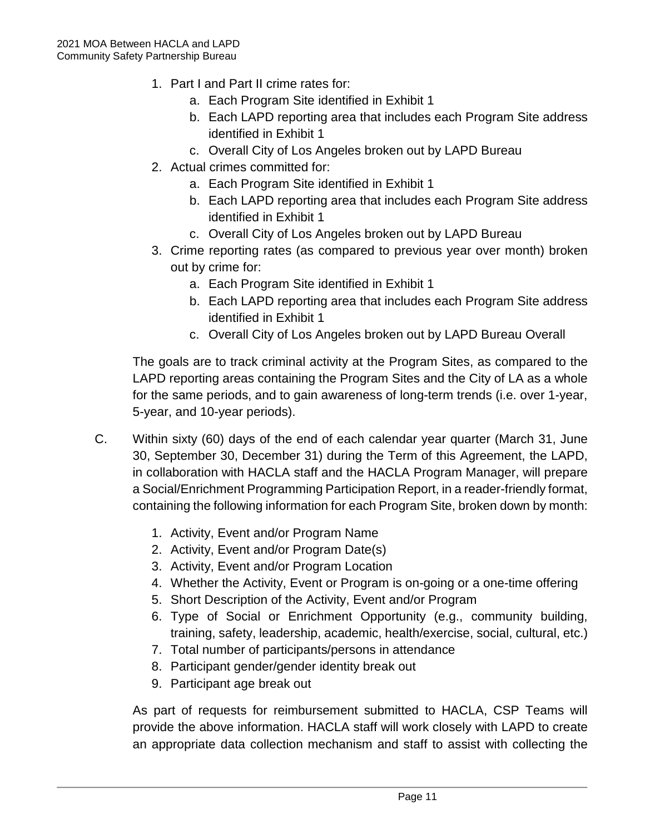- 1. Part I and Part II crime rates for:
	- a. Each Program Site identified in Exhibit 1
	- b. Each LAPD reporting area that includes each Program Site address identified in Exhibit 1
	- c. Overall City of Los Angeles broken out by LAPD Bureau
- 2. Actual crimes committed for:
	- a. Each Program Site identified in Exhibit 1
	- b. Each LAPD reporting area that includes each Program Site address identified in Exhibit 1
	- c. Overall City of Los Angeles broken out by LAPD Bureau
- 3. Crime reporting rates (as compared to previous year over month) broken out by crime for:
	- a. Each Program Site identified in Exhibit 1
	- b. Each LAPD reporting area that includes each Program Site address identified in Exhibit 1
	- c. Overall City of Los Angeles broken out by LAPD Bureau Overall

The goals are to track criminal activity at the Program Sites, as compared to the LAPD reporting areas containing the Program Sites and the City of LA as a whole for the same periods, and to gain awareness of long-term trends (i.e. over 1-year, 5-year, and 10-year periods).

- C. Within sixty (60) days of the end of each calendar year quarter (March 31, June 30, September 30, December 31) during the Term of this Agreement, the LAPD, in collaboration with HACLA staff and the HACLA Program Manager, will prepare a Social/Enrichment Programming Participation Report, in a reader-friendly format, containing the following information for each Program Site, broken down by month:
	- 1. Activity, Event and/or Program Name
	- 2. Activity, Event and/or Program Date(s)
	- 3. Activity, Event and/or Program Location
	- 4. Whether the Activity, Event or Program is on-going or a one-time offering
	- 5. Short Description of the Activity, Event and/or Program
	- 6. Type of Social or Enrichment Opportunity (e.g., community building, training, safety, leadership, academic, health/exercise, social, cultural, etc.)
	- 7. Total number of participants/persons in attendance
	- 8. Participant gender/gender identity break out
	- 9. Participant age break out

As part of requests for reimbursement submitted to HACLA, CSP Teams will provide the above information. HACLA staff will work closely with LAPD to create an appropriate data collection mechanism and staff to assist with collecting the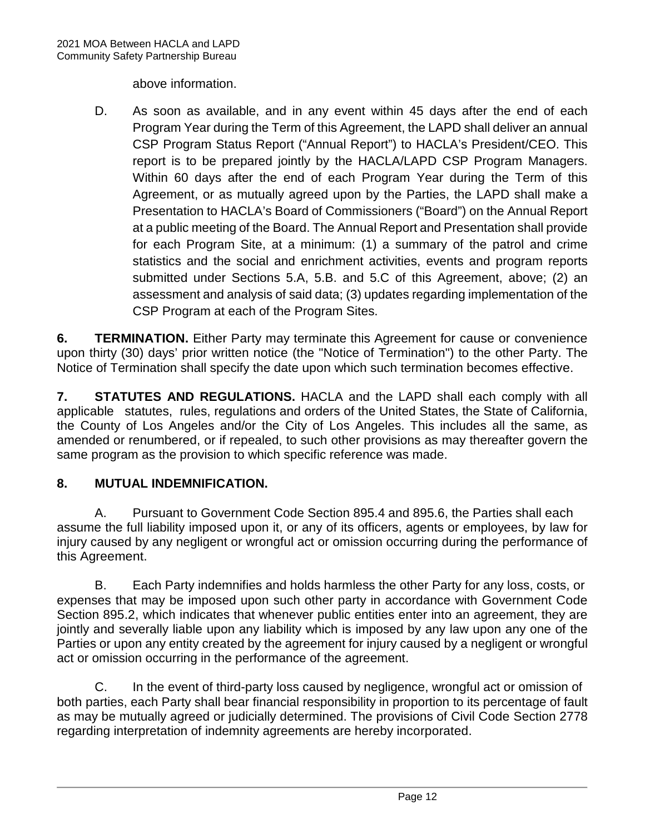above information.

D. As soon as available, and in any event within 45 days after the end of each Program Year during the Term of this Agreement, the LAPD shall deliver an annual CSP Program Status Report ("Annual Report") to HACLA's President/CEO. This report is to be prepared jointly by the HACLA/LAPD CSP Program Managers. Within 60 days after the end of each Program Year during the Term of this Agreement, or as mutually agreed upon by the Parties, the LAPD shall make a Presentation to HACLA's Board of Commissioners ("Board") on the Annual Report at a public meeting of the Board. The Annual Report and Presentation shall provide for each Program Site, at a minimum: (1) a summary of the patrol and crime statistics and the social and enrichment activities, events and program reports submitted under Sections 5.A, 5.B. and 5.C of this Agreement, above; (2) an assessment and analysis of said data; (3) updates regarding implementation of the CSP Program at each of the Program Sites.

**6. TERMINATION.** Either Party may terminate this Agreement for cause or convenience upon thirty (30) days' prior written notice (the "Notice of Termination") to the other Party. The Notice of Termination shall specify the date upon which such termination becomes effective.

**7. STATUTES AND REGULATIONS.** HACLA and the LAPD shall each comply with all applicable statutes, rules, regulations and orders of the United States, the State of California, the County of Los Angeles and/or the City of Los Angeles. This includes all the same, as amended or renumbered, or if repealed, to such other provisions as may thereafter govern the same program as the provision to which specific reference was made.

## **8. MUTUAL INDEMNIFICATION.**

A. Pursuant to Government Code Section 895.4 and 895.6, the Parties shall each assume the full liability imposed upon it, or any of its officers, agents or employees, by law for injury caused by any negligent or wrongful act or omission occurring during the performance of this Agreement.

B. Each Party indemnifies and holds harmless the other Party for any loss, costs, or expenses that may be imposed upon such other party in accordance with Government Code Section 895.2, which indicates that whenever public entities enter into an agreement, they are jointly and severally liable upon any liability which is imposed by any law upon any one of the Parties or upon any entity created by the agreement for injury caused by a negligent or wrongful act or omission occurring in the performance of the agreement.

C. In the event of third-party loss caused by negligence, wrongful act or omission of both parties, each Party shall bear financial responsibility in proportion to its percentage of fault as may be mutually agreed or judicially determined. The provisions of Civil Code Section 2778 regarding interpretation of indemnity agreements are hereby incorporated.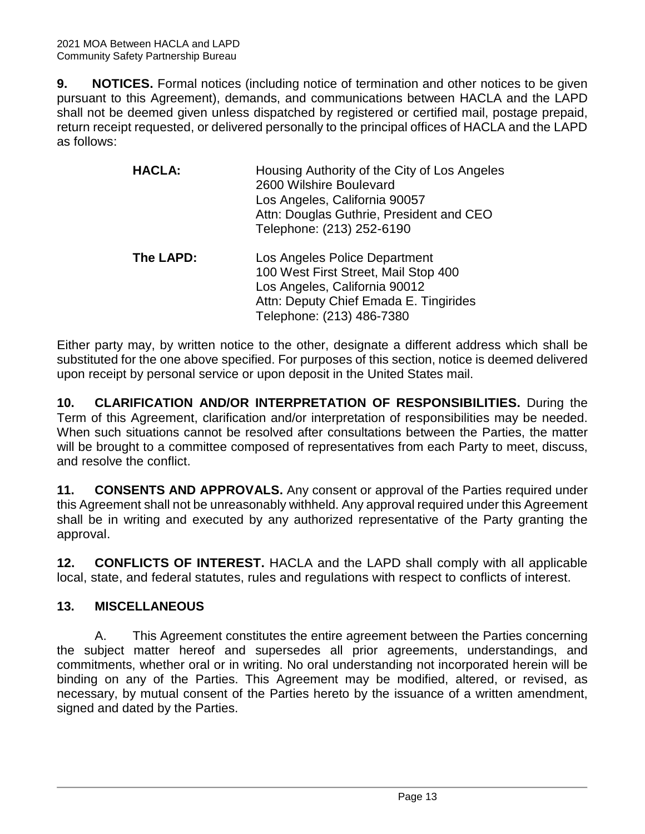**9. NOTICES.** Formal notices (including notice of termination and other notices to be given pursuant to this Agreement), demands, and communications between HACLA and the LAPD shall not be deemed given unless dispatched by registered or certified mail, postage prepaid, return receipt requested, or delivered personally to the principal offices of HACLA and the LAPD as follows:

| <b>HACLA:</b> | Housing Authority of the City of Los Angeles<br>2600 Wilshire Boulevard<br>Los Angeles, California 90057<br>Attn: Douglas Guthrie, President and CEO<br>Telephone: (213) 252-6190 |
|---------------|-----------------------------------------------------------------------------------------------------------------------------------------------------------------------------------|
| The LAPD:     | Los Angeles Police Department<br>100 West First Street, Mail Stop 400<br>Los Angeles, California 90012<br>Attn: Deputy Chief Emada E. Tingirides<br>Telephone: (213) 486-7380     |

Either party may, by written notice to the other, designate a different address which shall be substituted for the one above specified. For purposes of this section, notice is deemed delivered upon receipt by personal service or upon deposit in the United States mail.

**10. CLARIFICATION AND/OR INTERPRETATION OF RESPONSIBILITIES.** During the Term of this Agreement, clarification and/or interpretation of responsibilities may be needed. When such situations cannot be resolved after consultations between the Parties, the matter will be brought to a committee composed of representatives from each Party to meet, discuss, and resolve the conflict.

**11. CONSENTS AND APPROVALS.** Any consent or approval of the Parties required under this Agreement shall not be unreasonably withheld. Any approval required under this Agreement shall be in writing and executed by any authorized representative of the Party granting the approval.

**12. CONFLICTS OF INTEREST.** HACLA and the LAPD shall comply with all applicable local, state, and federal statutes, rules and regulations with respect to conflicts of interest.

## **13. MISCELLANEOUS**

A. This Agreement constitutes the entire agreement between the Parties concerning the subject matter hereof and supersedes all prior agreements, understandings, and commitments, whether oral or in writing. No oral understanding not incorporated herein will be binding on any of the Parties. This Agreement may be modified, altered, or revised, as necessary, by mutual consent of the Parties hereto by the issuance of a written amendment, signed and dated by the Parties.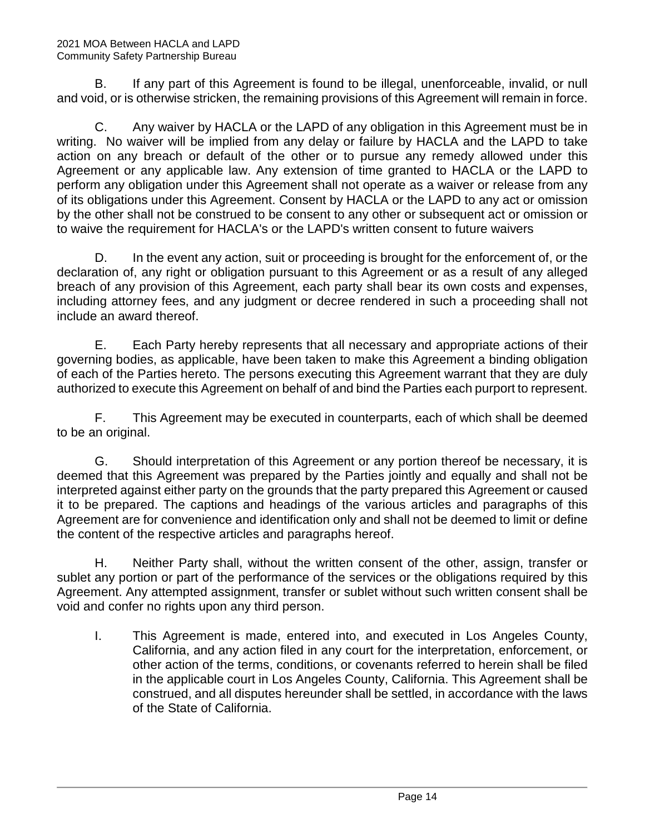B. If any part of this Agreement is found to be illegal, unenforceable, invalid, or null and void, or is otherwise stricken, the remaining provisions of this Agreement will remain in force.

C. Any waiver by HACLA or the LAPD of any obligation in this Agreement must be in writing. No waiver will be implied from any delay or failure by HACLA and the LAPD to take action on any breach or default of the other or to pursue any remedy allowed under this Agreement or any applicable law. Any extension of time granted to HACLA or the LAPD to perform any obligation under this Agreement shall not operate as a waiver or release from any of its obligations under this Agreement. Consent by HACLA or the LAPD to any act or omission by the other shall not be construed to be consent to any other or subsequent act or omission or to waive the requirement for HACLA's or the LAPD's written consent to future waivers

D. In the event any action, suit or proceeding is brought for the enforcement of, or the declaration of, any right or obligation pursuant to this Agreement or as a result of any alleged breach of any provision of this Agreement, each party shall bear its own costs and expenses, including attorney fees, and any judgment or decree rendered in such a proceeding shall not include an award thereof.

E. Each Party hereby represents that all necessary and appropriate actions of their governing bodies, as applicable, have been taken to make this Agreement a binding obligation of each of the Parties hereto. The persons executing this Agreement warrant that they are duly authorized to execute this Agreement on behalf of and bind the Parties each purport to represent.

F. This Agreement may be executed in counterparts, each of which shall be deemed to be an original.

G. Should interpretation of this Agreement or any portion thereof be necessary, it is deemed that this Agreement was prepared by the Parties jointly and equally and shall not be interpreted against either party on the grounds that the party prepared this Agreement or caused it to be prepared. The captions and headings of the various articles and paragraphs of this Agreement are for convenience and identification only and shall not be deemed to limit or define the content of the respective articles and paragraphs hereof.

H. Neither Party shall, without the written consent of the other, assign, transfer or sublet any portion or part of the performance of the services or the obligations required by this Agreement. Any attempted assignment, transfer or sublet without such written consent shall be void and confer no rights upon any third person.

I. This Agreement is made, entered into, and executed in Los Angeles County, California, and any action filed in any court for the interpretation, enforcement, or other action of the terms, conditions, or covenants referred to herein shall be filed in the applicable court in Los Angeles County, California. This Agreement shall be construed, and all disputes hereunder shall be settled, in accordance with the laws of the State of California.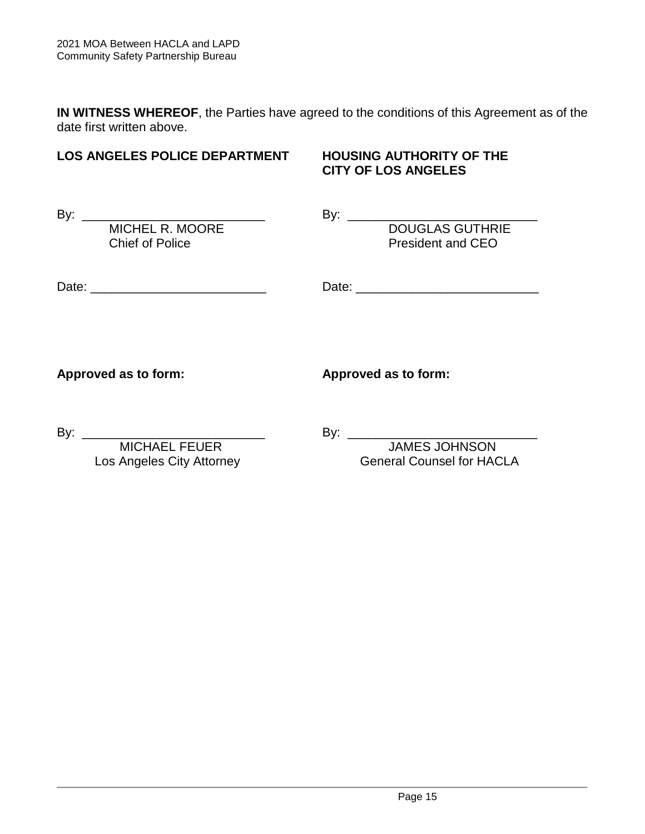**IN WITNESS WHEREOF**, the Parties have agreed to the conditions of this Agreement as of the date first written above.

## **LOS ANGELES POLICE DEPARTMENT HOUSING AUTHORITY OF THE**

# **CITY OF LOS ANGELES**

By: \_\_\_\_\_\_\_\_\_\_\_\_\_\_\_\_\_\_\_\_\_\_\_\_\_\_ By: \_\_\_\_\_\_\_\_\_\_\_\_\_\_\_\_\_\_\_\_\_\_\_\_\_\_\_ Chief of Police President and CEO

MICHEL R. MOORE DOUGLAS GUTHRIE

Date: \_\_\_\_\_\_\_\_\_\_\_\_\_\_\_\_\_\_\_\_\_\_\_\_\_ Date: \_\_\_\_\_\_\_\_\_\_\_\_\_\_\_\_\_\_\_\_\_\_\_\_\_\_

**Approved as to form: Approved as to form:**

By: \_\_\_\_\_\_\_\_\_\_\_\_\_\_\_\_\_\_\_\_\_\_\_\_\_\_ By: \_\_\_\_\_\_\_\_\_\_\_\_\_\_\_\_\_\_\_\_\_\_\_\_\_\_\_

 MICHAEL FEUER JAMES JOHNSON Los Angeles City Attorney **General Counsel for HACLA**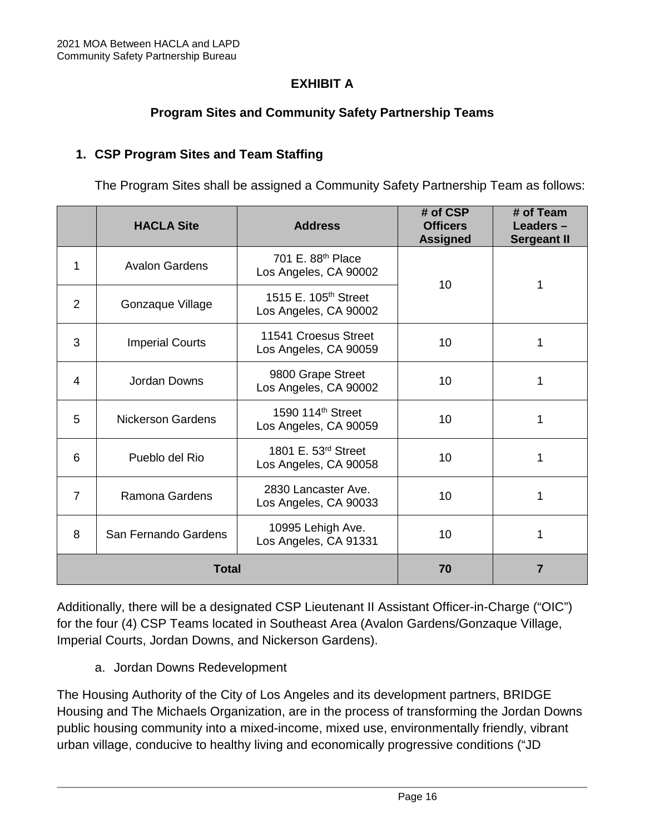## **EXHIBIT A**

## **Program Sites and Community Safety Partnership Teams**

#### **1. CSP Program Sites and Team Staffing**

The Program Sites shall be assigned a Community Safety Partnership Team as follows:

|                | <b>HACLA Site</b>        | <b>Address</b>                                            | # of CSP<br><b>Officers</b><br><b>Assigned</b> | # of Team<br>Leaders-<br><b>Sergeant II</b> |
|----------------|--------------------------|-----------------------------------------------------------|------------------------------------------------|---------------------------------------------|
| 1              | <b>Avalon Gardens</b>    | 701 E. 88 <sup>th</sup> Place<br>Los Angeles, CA 90002    | 10                                             | 1                                           |
| $\overline{2}$ | Gonzaque Village         | 1515 E. 105 <sup>th</sup> Street<br>Los Angeles, CA 90002 |                                                |                                             |
| 3              | <b>Imperial Courts</b>   | 11541 Croesus Street<br>Los Angeles, CA 90059             | 10                                             | 1                                           |
| 4              | Jordan Downs             | 9800 Grape Street<br>Los Angeles, CA 90002                | 10                                             | 1                                           |
| 5              | <b>Nickerson Gardens</b> | 1590 114 <sup>th</sup> Street<br>Los Angeles, CA 90059    | 10                                             | 1                                           |
| 6              | Pueblo del Rio           | 1801 E. 53 <sup>rd</sup> Street<br>Los Angeles, CA 90058  | 10                                             | 1                                           |
| 7              | Ramona Gardens           | 2830 Lancaster Ave.<br>Los Angeles, CA 90033              | 10                                             | 1                                           |
| 8              | San Fernando Gardens     | 10995 Lehigh Ave.<br>Los Angeles, CA 91331                | 10                                             | 1                                           |
| <b>Total</b>   |                          | 70                                                        | $\overline{7}$                                 |                                             |

Additionally, there will be a designated CSP Lieutenant II Assistant Officer-in-Charge ("OIC") for the four (4) CSP Teams located in Southeast Area (Avalon Gardens/Gonzaque Village, Imperial Courts, Jordan Downs, and Nickerson Gardens).

a. Jordan Downs Redevelopment

The Housing Authority of the City of Los Angeles and its development partners, BRIDGE Housing and The Michaels Organization, are in the process of transforming the Jordan Downs public housing community into a mixed-income, mixed use, environmentally friendly, vibrant urban village, conducive to healthy living and economically progressive conditions ("JD